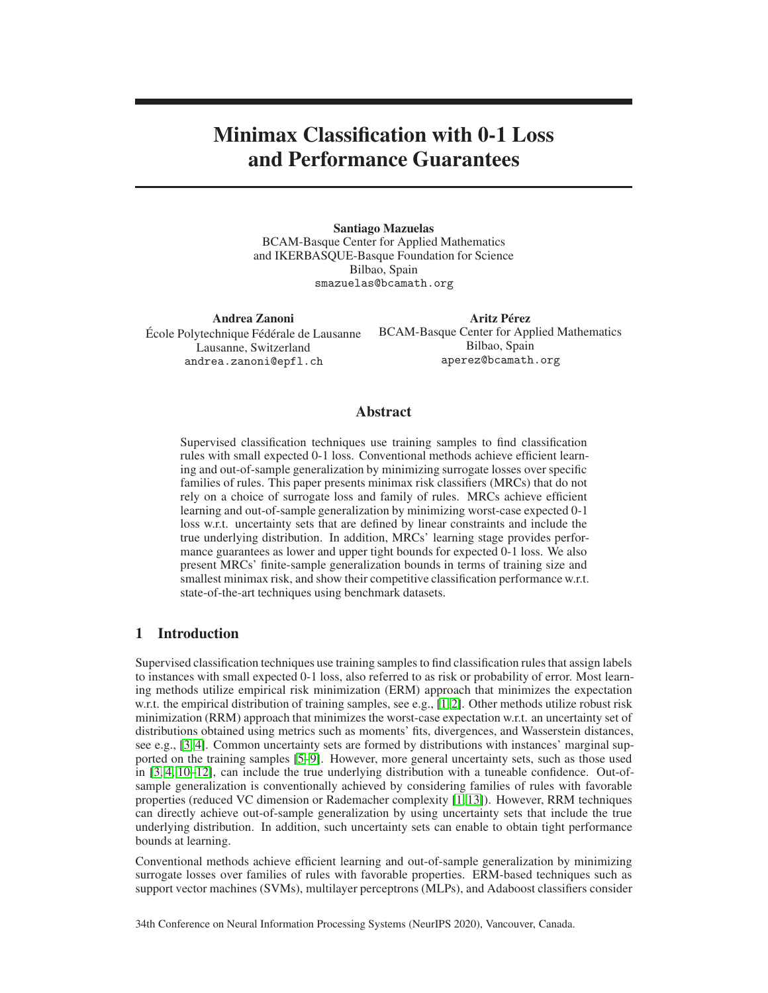# Minimax Classification with 0-1 Loss and Performance Guarantees

Santiago Mazuelas BCAM-Basque Center for Applied Mathematics and IKERBASQUE-Basque Foundation for Science Bilbao, Spain smazuelas@bcamath.org

Andrea Zanoni École Polytechnique Fédérale de Lausanne Lausanne, Switzerland andrea.zanoni@epfl.ch

Aritz Pérez BCAM-Basque Center for Applied Mathematics Bilbao, Spain aperez@bcamath.org

## Abstract

Supervised classification techniques use training samples to find classification rules with small expected 0-1 loss. Conventional methods achieve efficient learning and out-of-sample generalization by minimizing surrogate losses over specific families of rules. This paper presents minimax risk classifiers (MRCs) that do not rely on a choice of surrogate loss and family of rules. MRCs achieve efficient learning and out-of-sample generalization by minimizing worst-case expected 0-1 loss w.r.t. uncertainty sets that are defined by linear constraints and include the true underlying distribution. In addition, MRCs' learning stage provides performance guarantees as lower and upper tight bounds for expected 0-1 loss. We also present MRCs' finite-sample generalization bounds in terms of training size and smallest minimax risk, and show their competitive classification performance w.r.t. state-of-the-art techniques using benchmark datasets.

# 1 Introduction

Supervised classification techniques use training samplesto find classification rules that assign labels to instances with small expected 0-1 loss, also referred to as risk or probability of error. Most learning methods utilize empirical risk minimization (ERM) approach that minimizes the expectation w.r.t. the empirical distribution of training samples, see e.g., [\[1,](#page-9-0)2]. Other methods utilize robust risk minimization (RRM) approach that minimizes the worst-case expectation w.r.t. an uncertainty set of distributions obtained using metrics such as moments' fits, divergences, and Wasserstein distances, see e.g., [\[3,](#page-9-2) [4\]](#page-9-3). Common uncertainty sets are formed by distributions with instances' marginal supported on the training samples [\[5](#page-9-4)[–9\]](#page-9-5). However, more general uncertainty sets, such as those used in [\[3,](#page-9-2) [4,](#page-9-3) [10](#page-9-6)[–12\]](#page-9-7), can include the true underlying distribution with a tuneable confidence. Out-ofsample generalization is conventionally achieved by considering families of rules with favorable properties (reduced VC dimension or Rademacher complexity [\[1,](#page-9-0) [13\]](#page-9-8)). However, RRM techniques can directly achieve out-of-sample generalization by using uncertainty sets that include the true underlying distribution. In addition, such uncertainty sets can enable to obtain tight performance bounds at learning.

Conventional methods achieve efficient learning and out-of-sample generalization by minimizing surrogate losses over families of rules with favorable properties. ERM-based techniques such as support vector machines (SVMs), multilayer perceptrons (MLPs), and Adaboost classifiers consider

34th Conference on Neural Information Processing Systems (NeurIPS 2020), Vancouver, Canada.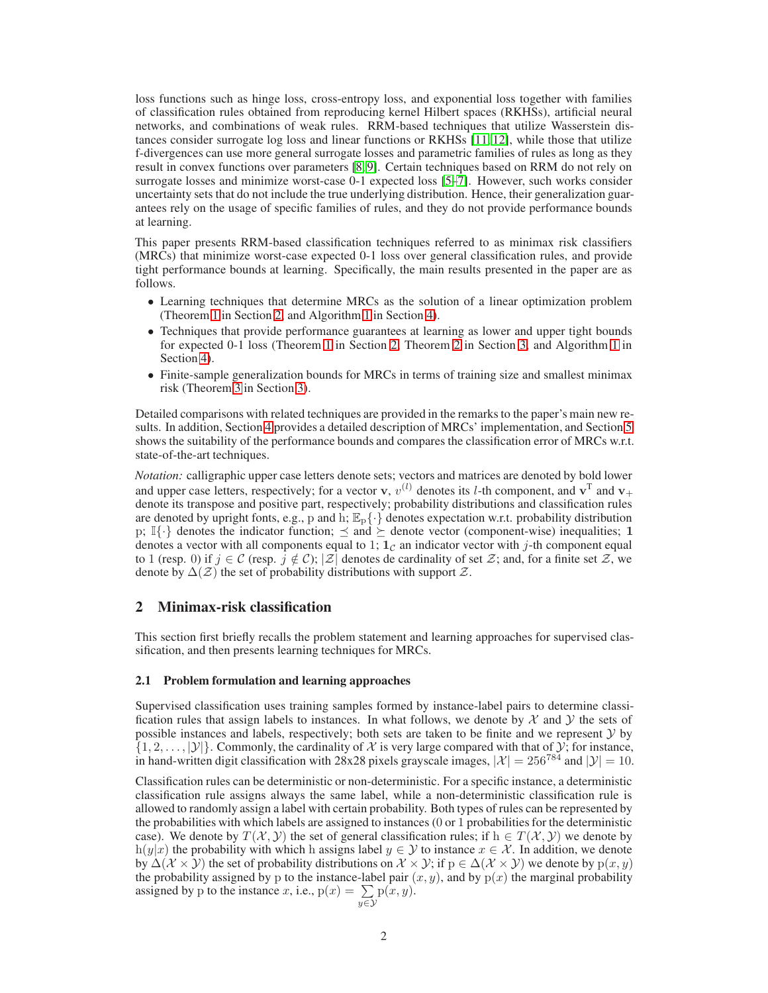loss functions such as hinge loss, cross-entropy loss, and exponential loss together with families of classification rules obtained from reproducing kernel Hilbert spaces (RKHSs), artificial neural networks, and combinations of weak rules. RRM-based techniques that utilize Wasserstein distances consider surrogate log loss and linear functions or RKHSs [\[11,](#page-9-9) [12\]](#page-9-7), while those that utilize f-divergences can use more general surrogate losses and parametric families of rules as long as they result in convex functions over parameters [\[8,](#page-9-10) [9\]](#page-9-5). Certain techniques based on RRM do not rely on surrogate losses and minimize worst-case 0-1 expected loss [\[5](#page-9-4)[–7\]](#page-9-11). However, such works consider uncertainty sets that do not include the true underlying distribution. Hence, their generalization guarantees rely on the usage of specific families of rules, and they do not provide performance bounds at learning.

This paper presents RRM-based classification techniques referred to as minimax risk classifiers (MRCs) that minimize worst-case expected 0-1 loss over general classification rules, and provide tight performance bounds at learning. Specifically, the main results presented in the paper are as follows.

- Learning techniques that determine MRCs as the solution of a linear optimization problem (Theorem [1](#page-3-0) in Section [2,](#page-1-0) and Algorithm [1](#page-6-0) in Section [4\)](#page-5-0).
- Techniques that provide performance guarantees at learning as lower and upper tight bounds for expected 0-1 loss (Theorem [1](#page-3-0) in Section [2,](#page-1-0) Theorem [2](#page-4-0) in Section [3,](#page-4-1) and Algorithm [1](#page-6-0) in Section [4\)](#page-5-0).
- Finite-sample generalization bounds for MRCs in terms of training size and smallest minimax risk (Theorem [3](#page-5-1) in Section [3\)](#page-4-1).

Detailed comparisons with related techniques are provided in the remarks to the paper's main new results. In addition, Section [4](#page-5-0) provides a detailed description of MRCs' implementation, and Section [5](#page-7-0) shows the suitability of the performance bounds and compares the classification error of MRCs w.r.t. state-of-the-art techniques.

*Notation:* calligraphic upper case letters denote sets; vectors and matrices are denoted by bold lower and upper case letters, respectively; for a vector **v**,  $v^{(l)}$  denotes its *l*-th component, and  $\mathbf{v}^T$  and  $\mathbf{v}_+$ denote its transpose and positive part, respectively; probability distributions and classification rules are denoted by upright fonts, e.g., p and h;  $\mathbb{E}_{p}\{\cdot\}$  denotes expectation w.r.t. probability distribution p;  $\mathbb{I}\{\cdot\}$  denotes the indicator function;  $\leq$  and  $\succeq$  denote vector (component-wise) inequalities; 1 denotes a vector with all components equal to 1;  $1<sub>c</sub>$  an indicator vector with j-th component equal to 1 (resp. 0) if  $j \in \mathcal{C}$  (resp.  $j \notin \mathcal{C}$ );  $|\mathcal{Z}|$  denotes de cardinality of set  $\mathcal{Z}$ ; and, for a finite set  $\mathcal{Z}$ , we denote by  $\Delta(\mathcal{Z})$  the set of probability distributions with support  $\mathcal{Z}$ .

## <span id="page-1-0"></span>2 Minimax-risk classification

This section first briefly recalls the problem statement and learning approaches for supervised classification, and then presents learning techniques for MRCs.

#### 2.1 Problem formulation and learning approaches

Supervised classification uses training samples formed by instance-label pairs to determine classification rules that assign labels to instances. In what follows, we denote by  $\mathcal X$  and  $\mathcal Y$  the sets of possible instances and labels, respectively; both sets are taken to be finite and we represent  $\mathcal Y$  by  $\{1, 2, \ldots, |\mathcal{Y}|\}$ . Commonly, the cardinality of X is very large compared with that of Y; for instance, in hand-written digit classification with 28x28 pixels grayscale images,  $|\mathcal{X}| = 256^{784}$  and  $|\mathcal{Y}| = 10$ .

Classification rules can be deterministic or non-deterministic. For a specific instance, a deterministic classification rule assigns always the same label, while a non-deterministic classification rule is allowed to randomly assign a label with certain probability. Both types of rules can be represented by the probabilities with which labels are assigned to instances (0 or 1 probabilities for the deterministic case). We denote by  $T(\mathcal{X}, \mathcal{Y})$  the set of general classification rules; if  $h \in T(\mathcal{X}, \mathcal{Y})$  we denote by h(y|x) the probability with which h assigns label  $y \in Y$  to instance  $x \in \mathcal{X}$ . In addition, we denote by  $\Delta(\mathcal{X} \times \mathcal{Y})$  the set of probability distributions on  $\mathcal{X} \times \mathcal{Y}$ ; if  $p \in \Delta(\mathcal{X} \times \mathcal{Y})$  we denote by  $p(x, y)$ the probability assigned by p to the instance-label pair  $(x, y)$ , and by  $p(x)$  the marginal probability assigned by p to the instance x, i.e.,  $p(x) = \sum$  $y \in \mathcal{Y}$  $p(x, y)$ .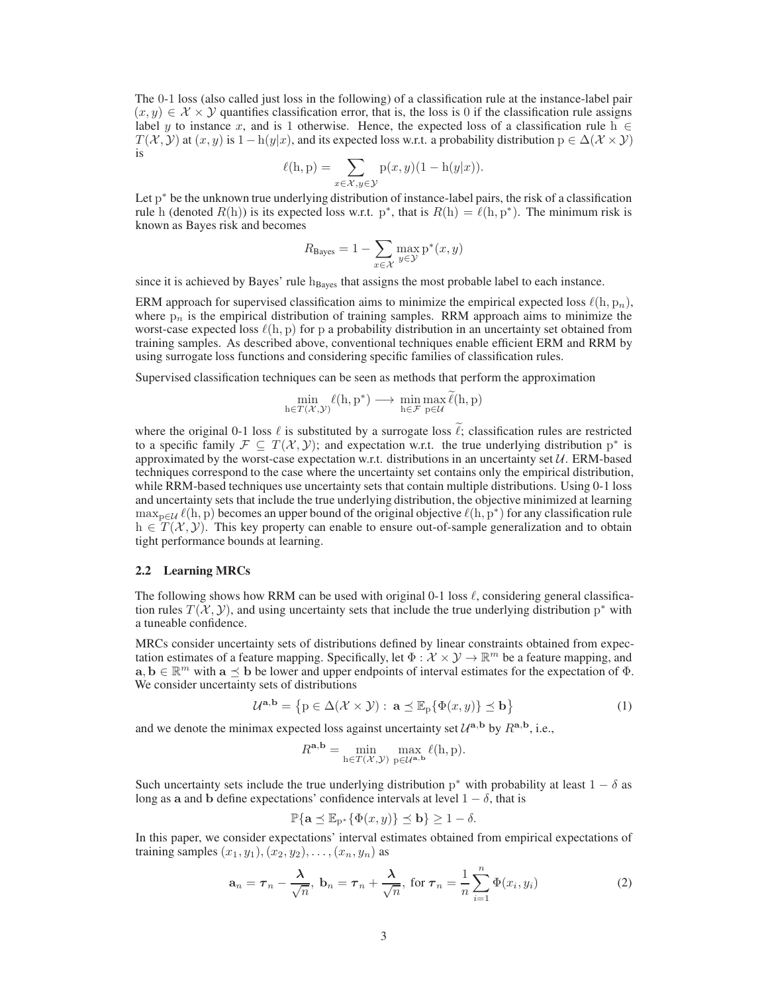The 0-1 loss (also called just loss in the following) of a classification rule at the instance-label pair  $(x, y) \in \mathcal{X} \times \mathcal{Y}$  quantifies classification error, that is, the loss is 0 if the classification rule assigns label y to instance x, and is 1 otherwise. Hence, the expected loss of a classification rule h  $\in$  $T(\mathcal{X}, \mathcal{Y})$  at  $(x, y)$  is  $1 - h(y|x)$ , and its expected loss w.r.t. a probability distribution  $p \in \Delta(\mathcal{X} \times \mathcal{Y})$ is

$$
\ell(h, p) = \sum_{x \in \mathcal{X}, y \in \mathcal{Y}} p(x, y)(1 - h(y|x)).
$$

Let p<sup>\*</sup> be the unknown true underlying distribution of instance-label pairs, the risk of a classification rule h (denoted  $R(h)$ ) is its expected loss w.r.t. p<sup>\*</sup>, that is  $R(h) = \ell(h, p^*)$ . The minimum risk is known as Bayes risk and becomes

$$
R_{\text{Bayes}} = 1 - \sum_{x \in \mathcal{X}} \max_{y \in \mathcal{Y}} p^*(x, y)
$$

since it is achieved by Bayes' rule  $h_{Bayes}$  that assigns the most probable label to each instance.

ERM approach for supervised classification aims to minimize the empirical expected loss  $\ell(h, p_n)$ , where  $p_n$  is the empirical distribution of training samples. RRM approach aims to minimize the worst-case expected loss  $\ell(h, p)$  for p a probability distribution in an uncertainty set obtained from training samples. As described above, conventional techniques enable efficient ERM and RRM by using surrogate loss functions and considering specific families of classification rules.

Supervised classification techniques can be seen as methods that perform the approximation

$$
\min_{h \in T(\mathcal{X}, \mathcal{Y})} \ell(h, p^*) \longrightarrow \min_{h \in \mathcal{F}} \max_{p \in \mathcal{U}} \ell(h, p)
$$

where the original 0-1 loss  $\ell$  is substituted by a surrogate loss  $\ell$ ; classification rules are restricted to a specific family  $\mathcal{F} \subseteq T(\mathcal{X}, \mathcal{Y})$ ; and expectation w.r.t. the true underlying distribution  $p^*$  is approximated by the worst-case expectation w.r.t. distributions in an uncertainty set  $U$ . ERM-based techniques correspond to the case where the uncertainty set contains only the empirical distribution, while RRM-based techniques use uncertainty sets that contain multiple distributions. Using 0-1 loss and uncertainty sets that include the true underlying distribution, the objective minimized at learning  $\max_{p \in \mathcal{U}} \ell(h, p)$  becomes an upper bound of the original objective  $\ell(h, p^*)$  for any classification rule  $h \in T(X, Y)$ . This key property can enable to ensure out-of-sample generalization and to obtain tight performance bounds at learning.

#### 2.2 Learning MRCs

The following shows how RRM can be used with original 0-1 loss  $\ell$ , considering general classification rules  $T(X, Y)$ , and using uncertainty sets that include the true underlying distribution p<sup>\*</sup> with a tuneable confidence.

MRCs consider uncertainty sets of distributions defined by linear constraints obtained from expectation estimates of a feature mapping. Specifically, let  $\Phi : \mathcal{X} \times \mathcal{Y} \to \mathbb{R}^m$  be a feature mapping, and  $\mathbf{a}, \mathbf{b} \in \mathbb{R}^m$  with  $\mathbf{a} \preceq \mathbf{b}$  be lower and upper endpoints of interval estimates for the expectation of  $\Phi$ . We consider uncertainty sets of distributions

$$
\mathcal{U}^{\mathbf{a},\mathbf{b}} = \left\{ \mathbf{p} \in \Delta(\mathcal{X} \times \mathcal{Y}) : \, \mathbf{a} \preceq \mathbb{E}_{\mathbf{p}} \{ \Phi(x,y) \} \preceq \mathbf{b} \right\}
$$
 (1)

and we denote the minimax expected loss against uncertainty set  $\mathcal{U}^{a,b}$  by  $R^{a,b}$ , i.e.,

<span id="page-2-0"></span>
$$
R^{\mathbf{a},\mathbf{b}} = \min_{\mathbf{h}\in T(\mathcal{X},\mathcal{Y})} \max_{\mathbf{p}\in\mathcal{U}^{\mathbf{a},\mathbf{b}}} \ell(\mathbf{h}, \mathbf{p}).
$$

Such uncertainty sets include the true underlying distribution  $p^*$  with probability at least  $1 - \delta$  as long as a and b define expectations' confidence intervals at level  $1 - \delta$ , that is

<span id="page-2-1"></span>
$$
\mathbb{P}\{\mathbf{a} \leq \mathbb{E}_{p^*}\{\Phi(x,y)\} \leq \mathbf{b}\} \geq 1-\delta.
$$

In this paper, we consider expectations' interval estimates obtained from empirical expectations of training samples  $(x_1, y_1), (x_2, y_2), \ldots, (x_n, y_n)$  as

$$
\mathbf{a}_n = \boldsymbol{\tau}_n - \frac{\boldsymbol{\lambda}}{\sqrt{n}}, \ \mathbf{b}_n = \boldsymbol{\tau}_n + \frac{\boldsymbol{\lambda}}{\sqrt{n}}, \ \text{for } \boldsymbol{\tau}_n = \frac{1}{n} \sum_{i=1}^n \Phi(x_i, y_i)
$$
 (2)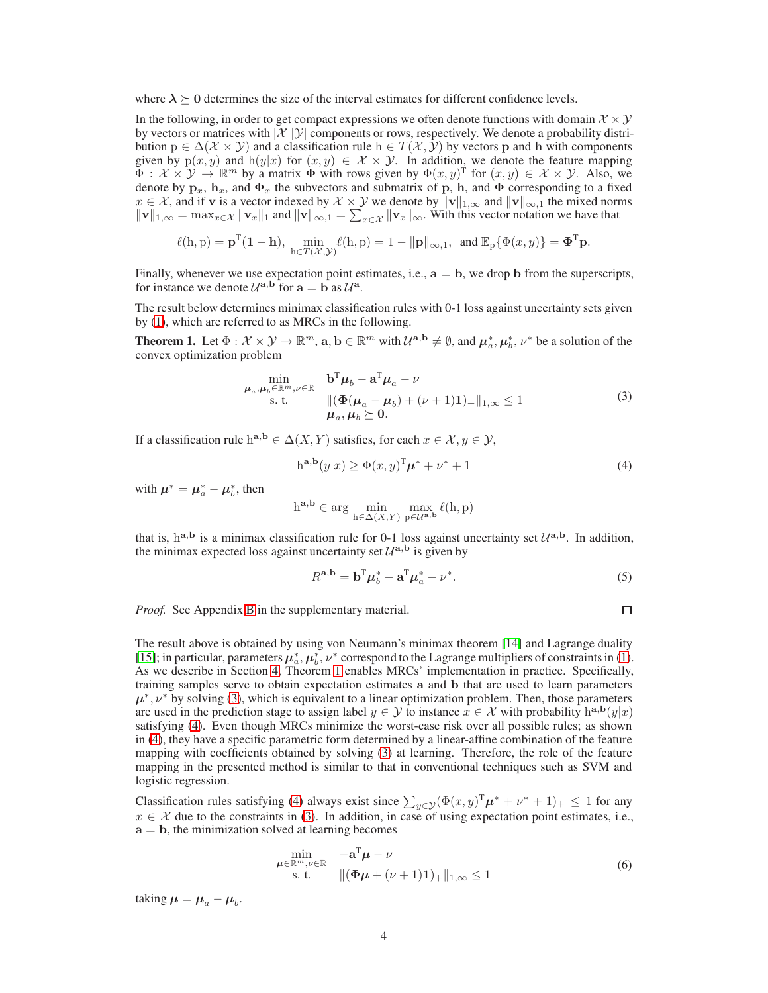where  $\lambda \geq 0$  determines the size of the interval estimates for different confidence levels.

In the following, in order to get compact expressions we often denote functions with domain  $\mathcal{X} \times \mathcal{Y}$ by vectors or matrices with  $|\mathcal{X}||\mathcal{Y}|$  components or rows, respectively. We denote a probability distribution  $p \in \Delta(\mathcal{X} \times \mathcal{Y})$  and a classification rule  $h \in T(\mathcal{X}, \mathcal{Y})$  by vectors p and h with components given by  $p(x, y)$  and  $h(y|x)$  for  $(x, y) \in \mathcal{X} \times \mathcal{Y}$ . In addition, we denote the feature mapping  $\Phi : \mathcal{X} \times \mathcal{Y} \to \mathbb{R}^m$  by a matrix  $\Phi$  with rows given by  $\Phi(x, y)$  for  $(x, y) \in \mathcal{X} \times \mathcal{Y}$ . Also, we denote by  $\mathbf{p}_x$ ,  $\mathbf{h}_x$ , and  $\Phi_x$  the subvectors and submatrix of p, h, and  $\Phi$  corresponding to a fixed  $x \in \mathcal{X}$ , and if v is a vector indexed by  $\mathcal{X} \times \mathcal{Y}$  we denote by  $\|\mathbf{v}\|_{1,\infty}$  and  $\|\mathbf{v}\|_{\infty,1}$  the mixed norms  $||\mathbf{v}||_{1,\infty} = \max_{x \in \mathcal{X}} ||\mathbf{v}_x||_1$  and  $||\mathbf{v}||_{\infty,1} = \sum_{x \in \mathcal{X}} ||\mathbf{v}_x||_{\infty}$ . With this vector notation we have that

$$
\ell(h, p) = \mathbf{p}^{\mathrm{T}}(\mathbf{1} - \mathbf{h}), \ \min_{h \in T(\mathcal{X}, \mathcal{Y})} \ell(h, p) = 1 - ||\mathbf{p}||_{\infty, 1}, \text{ and } \mathbb{E}_{p} \{\Phi(x, y)\} = \mathbf{\Phi}^{\mathrm{T}} \mathbf{p}.
$$

Finally, whenever we use expectation point estimates, i.e.,  $a = b$ , we drop b from the superscripts, for instance we denote  $\mathcal{U}^{\mathbf{a},\mathbf{b}}$  for  $\mathbf{a} = \mathbf{b}$  as  $\mathcal{U}^{\mathbf{a}}$ .

The result below determines minimax classification rules with 0-1 loss against uncertainty sets given by [\(1\)](#page-2-0), which are referred to as MRCs in the following.

<span id="page-3-0"></span>**Theorem 1.** Let  $\Phi: \mathcal{X} \times \mathcal{Y} \to \mathbb{R}^m$ ,  $\mathbf{a}, \mathbf{b} \in \mathbb{R}^m$  with  $\mathcal{U}^{\mathbf{a}, \mathbf{b}} \neq \emptyset$ , and  $\mu_a^*, \mu_b^*, \nu^*$  be a solution of the convex optimization problem

$$
\min_{\mu_a,\mu_b \in \mathbb{R}^m, \nu \in \mathbb{R}} \quad \mathbf{b}^{\mathrm{T}} \mu_b - \mathbf{a}^{\mathrm{T}} \mu_a - \nu
$$
\n
$$
\text{s.t.} \quad ||(\Phi(\mu_a - \mu_b) + (\nu + 1)\mathbf{1})_+||_{1,\infty} \le 1
$$
\n
$$
\mu_a, \mu_b \ge 0.
$$
\n
$$
(3)
$$

If a classification rule h<sup>a,b</sup>  $\in \Delta(X, Y)$  satisfies, for each  $x \in \mathcal{X}, y \in \mathcal{Y}$ ,

$$
ha,b(y|x) \ge \Phi(x,y)T \mu^* + \nu^* + 1
$$
\n(4)

with  $\mu^* = \mu_a^* - \mu_b^*$ , then

$$
h^{\mathbf{a},\mathbf{b}}\in \arg\,\min_{h\in \Delta(X,Y)}\,\max_{p\in \mathcal{U}^{\mathbf{a},\mathbf{b}}}\ell(h,p)
$$

that is,  $h^{a,b}$  is a minimax classification rule for 0-1 loss against uncertainty set  $\mathcal{U}^{a,b}$ . In addition, the minimax expected loss against uncertainty set  $\mathcal{U}^{a,b}$  is given by

$$
R^{\mathbf{a},\mathbf{b}} = \mathbf{b}^{\mathrm{T}} \boldsymbol{\mu}_b^* - \mathbf{a}^{\mathrm{T}} \boldsymbol{\mu}_a^* - \boldsymbol{\nu}^*.
$$

*Proof.* See Appendix B in the supplementary material.

<span id="page-3-4"></span><span id="page-3-3"></span><span id="page-3-2"></span><span id="page-3-1"></span>
$$
\Box
$$

The result above is obtained by using von Neumann's minimax theorem [\[14\]](#page-9-12) and Lagrange duality [\[15\]](#page-9-13); in particular, parameters  $\mu_a^*, \mu_b^*, \nu^*$  correspond to the Lagrange multipliers of constraints in [\(1\)](#page-2-0). As we describe in Section [4,](#page-5-0) Theorem [1](#page-3-0) enables MRCs' implementation in practice. Specifically, training samples serve to obtain expectation estimates a and b that are used to learn parameters  $\mu^*, \nu^*$  by solving [\(3\)](#page-3-1), which is equivalent to a linear optimization problem. Then, those parameters are used in the prediction stage to assign label  $y \in Y$  to instance  $x \in \mathcal{X}$  with probability h<sup>a,b</sup>(y|x) satisfying [\(4\)](#page-3-2). Even though MRCs minimize the worst-case risk over all possible rules; as shown in [\(4\)](#page-3-2), they have a specific parametric form determined by a linear-affine combination of the feature mapping with coefficients obtained by solving [\(3\)](#page-3-1) at learning. Therefore, the role of the feature mapping in the presented method is similar to that in conventional techniques such as SVM and logistic regression.

Classification rules satisfying [\(4\)](#page-3-2) always exist since  $\sum_{y \in \mathcal{Y}} (\Phi(x, y)^T \mu^* + \nu^* + 1)_+ \leq 1$  for any  $x \in \mathcal{X}$  due to the constraints in [\(3\)](#page-3-1). In addition, in case of using expectation point estimates, i.e.,  $a = b$ , the minimization solved at learning becomes

$$
\min_{\mu \in \mathbb{R}^m, \nu \in \mathbb{R}} \quad -\mathbf{a}^{\mathrm{T}} \mu - \nu
$$
\n
$$
\text{s. t.} \quad ||(\Phi \mu + (\nu + 1)\mathbf{1})_+||_{1,\infty} \le 1 \tag{6}
$$

taking  $\mu = \mu_a - \mu_b$ .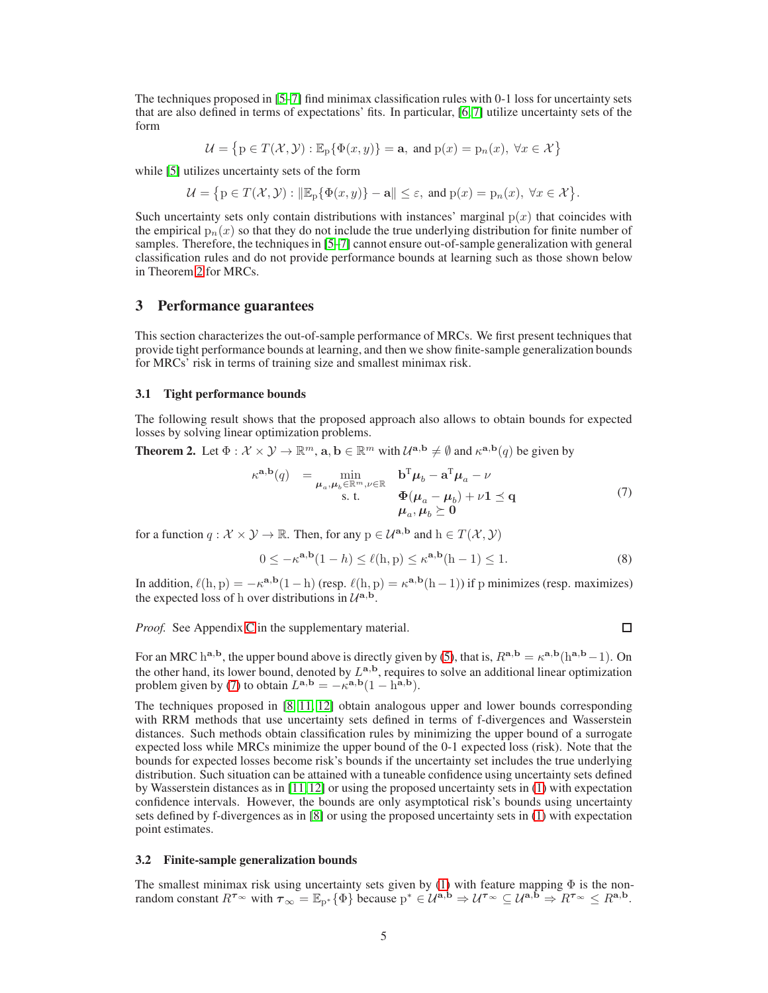The techniques proposed in [\[5–](#page-9-4)[7\]](#page-9-11) find minimax classification rules with 0-1 loss for uncertainty sets that are also defined in terms of expectations' fits. In particular, [\[6,](#page-9-14) [7\]](#page-9-11) utilize uncertainty sets of the form

$$
\mathcal{U}=\left\{\mathbf{p}\in T(\mathcal{X},\mathcal{Y}): \mathbb{E}_{\mathbf{p}}\{\Phi(x,y)\}=\mathbf{a},\;\text{and}\;\mathbf{p}(x)=\mathbf{p}_n(x),\;\forall x\in\mathcal{X}\right\}
$$

while [\[5\]](#page-9-4) utilizes uncertainty sets of the form

$$
\mathcal{U} = \big\{ \mathrm{p} \in T(\mathcal{X},\mathcal{Y}) : \|\mathbb{E}_{\mathrm{p}}\{\Phi(x,y)\} - \mathbf{a}\| \le \varepsilon, \text{ and } \mathrm{p}(x) = \mathrm{p}_n(x), \ \forall x \in \mathcal{X} \big\}.
$$

Such uncertainty sets only contain distributions with instances' marginal  $p(x)$  that coincides with the empirical  $p_n(x)$  so that they do not include the true underlying distribution for finite number of samples. Therefore, the techniques in [\[5](#page-9-4)[–7\]](#page-9-11) cannot ensure out-of-sample generalization with general classification rules and do not provide performance bounds at learning such as those shown below in Theorem [2](#page-4-0) for MRCs.

## <span id="page-4-1"></span>3 Performance guarantees

This section characterizes the out-of-sample performance of MRCs. We first present techniques that provide tight performance bounds at learning, and then we show finite-sample generalization bounds for MRCs' risk in terms of training size and smallest minimax risk.

#### 3.1 Tight performance bounds

The following result shows that the proposed approach also allows to obtain bounds for expected losses by solving linear optimization problems.

<span id="page-4-0"></span>**Theorem 2.** Let  $\Phi: \mathcal{X} \times \mathcal{Y} \to \mathbb{R}^m$ ,  $\mathbf{a}, \mathbf{b} \in \mathbb{R}^m$  with  $\mathcal{U}^{\mathbf{a}, \mathbf{b}} \neq \emptyset$  and  $\kappa^{\mathbf{a}, \mathbf{b}}(q)$  be given by

$$
\kappa^{\mathbf{a},\mathbf{b}}(q) = \min_{\substack{\mu_a,\mu_b \in \mathbb{R}^m, \nu \in \mathbb{R} \\ \text{s. t.}}} \frac{\mathbf{b}^{\mathrm{T}}\mu_b - \mathbf{a}^{\mathrm{T}}\mu_a - \nu}{\Phi(\mu_a - \mu_b) + \nu \mathbf{1} \preceq \mathbf{q}} \tag{7}
$$

for a function  $q : \mathcal{X} \times \mathcal{Y} \to \mathbb{R}$ . Then, for any  $p \in \mathcal{U}^{a,b}$  and  $h \in T(\mathcal{X}, \mathcal{Y})$ 

$$
0 \le -\kappa^{\mathbf{a},\mathbf{b}}(1-h) \le \ell(h,p) \le \kappa^{\mathbf{a},\mathbf{b}}(h-1) \le 1.
$$
 (8)

In addition,  $\ell(h, p) = -\kappa^{a,b}(1-h)$  (resp.  $\ell(h, p) = \kappa^{a,b}(h-1)$ ) if p minimizes (resp. maximizes) the expected loss of h over distributions in  $\mathcal{U}^{\mathbf{a},\mathbf{b}}$ .

*Proof.* See Appendix C in the supplementary material.

<span id="page-4-2"></span> $\Box$ 

For an MRC h<sup>a,b</sup>, the upper bound above is directly given by [\(5\)](#page-3-3), that is,  $R^{a,b} = \kappa^{a,b}(h^{a,b}-1)$ . On the other hand, its lower bound, denoted by  $L^{a,b}$ , requires to solve an additional linear optimization problem given by [\(7\)](#page-4-2) to obtain  $L^{a,b} = -\kappa^{a,b}(1 - h^{a,b})$ .

The techniques proposed in [\[8,](#page-9-10) [11,](#page-9-9) [12\]](#page-9-7) obtain analogous upper and lower bounds corresponding with RRM methods that use uncertainty sets defined in terms of f-divergences and Wasserstein distances. Such methods obtain classification rules by minimizing the upper bound of a surrogate expected loss while MRCs minimize the upper bound of the 0-1 expected loss (risk). Note that the bounds for expected losses become risk's bounds if the uncertainty set includes the true underlying distribution. Such situation can be attained with a tuneable confidence using uncertainty sets defined by Wasserstein distances as in [\[11,](#page-9-9)[12\]](#page-9-7) or using the proposed uncertainty sets in [\(1\)](#page-2-0) with expectation confidence intervals. However, the bounds are only asymptotical risk's bounds using uncertainty sets defined by f-divergences as in [\[8\]](#page-9-10) or using the proposed uncertainty sets in [\(1\)](#page-2-0) with expectation point estimates.

#### 3.2 Finite-sample generalization bounds

The smallest minimax risk using uncertainty sets given by [\(1\)](#page-2-0) with feature mapping  $\Phi$  is the nonrandom constant  $R^{\tau_{\infty}}$  with  $\tau_{\infty} = \mathbb{E}_{p^*}\{\Phi\}$  because  $p^* \in \mathcal{U}^{a,b} \Rightarrow \mathcal{U}^{\tau_{\infty}} \subseteq \mathcal{U}^{a,b} \Rightarrow R^{\tau_{\infty}} \leq R^{a,b}$ .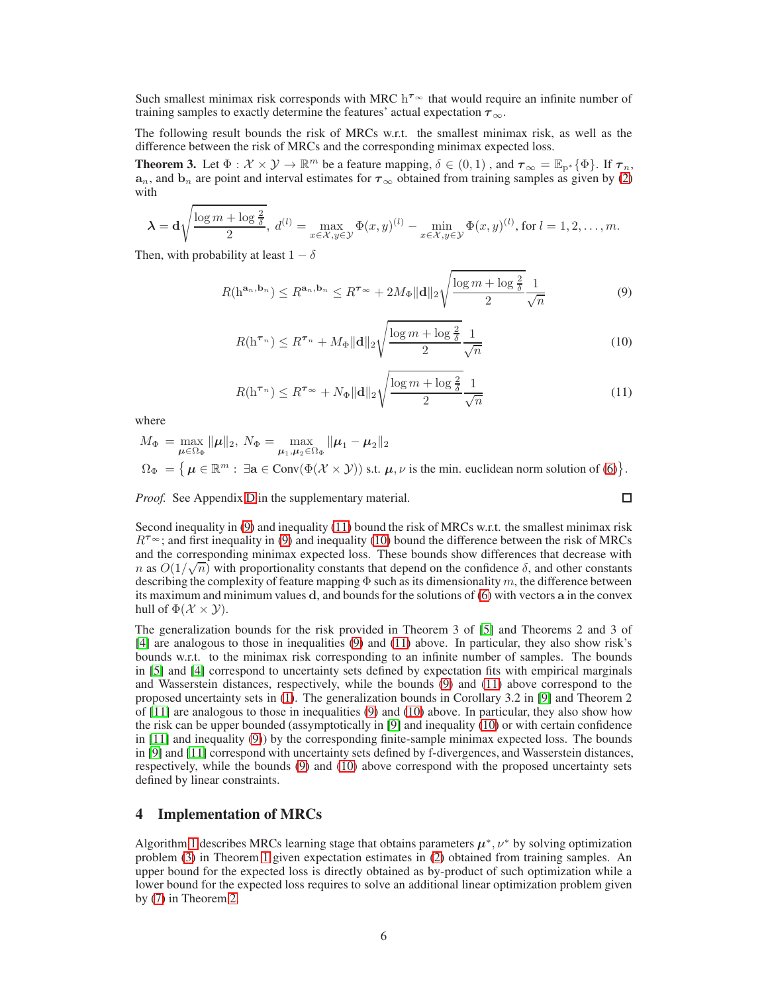Such smallest minimax risk corresponds with MRC  $h^{\tau_{\infty}}$  that would require an infinite number of training samples to exactly determine the features' actual expectation  $\tau_{\infty}$ .

The following result bounds the risk of MRCs w.r.t. the smallest minimax risk, as well as the difference between the risk of MRCs and the corresponding minimax expected loss.

<span id="page-5-1"></span>**Theorem 3.** Let  $\Phi : \mathcal{X} \times \mathcal{Y} \to \mathbb{R}^m$  be a feature mapping,  $\delta \in (0,1)$ , and  $\tau_{\infty} = \mathbb{E}_{p^*}\{\Phi\}$ . If  $\tau_n$ ,  $a_n$ , and  $b_n$  are point and interval estimates for  $\tau_{\infty}$  obtained from training samples as given by [\(2\)](#page-2-1) with

$$
\lambda = \mathbf{d} \sqrt{\frac{\log m + \log \frac{2}{\delta}}{2}}, \ d^{(l)} = \max_{x \in \mathcal{X}, y \in \mathcal{Y}} \Phi(x, y)^{(l)} - \min_{x \in \mathcal{X}, y \in \mathcal{Y}} \Phi(x, y)^{(l)}, \text{ for } l = 1, 2, \dots, m.
$$

Then, with probability at least  $1 - \delta$ 

$$
R(\mathbf{h}^{\mathbf{a}_n, \mathbf{b}_n}) \le R^{\mathbf{a}_n, \mathbf{b}_n} \le R^{\tau_{\infty}} + 2M_{\Phi} \|\mathbf{d}\|_2 \sqrt{\frac{\log m + \log \frac{2}{\delta}}{2} \frac{1}{\sqrt{n}}}
$$
(9)

$$
R(\mathbf{h}^{\tau_n}) \le R^{\tau_n} + M_{\Phi} \|\mathbf{d}\|_2 \sqrt{\frac{\log m + \log \frac{2}{\delta}}{2}} \frac{1}{\sqrt{n}} \tag{10}
$$

$$
R(\mathbf{h}^{\tau_n}) \le R^{\tau_{\infty}} + N_{\Phi} \|\mathbf{d}\|_2 \sqrt{\frac{\log m + \log \frac{2}{\delta}}{2}} \frac{1}{\sqrt{n}} \tag{11}
$$

<span id="page-5-4"></span><span id="page-5-3"></span><span id="page-5-2"></span> $\Box$ 

where

$$
M_{\Phi} = \max_{\mu \in \Omega_{\Phi}} \|\mu\|_{2}, \ N_{\Phi} = \max_{\mu_{1}, \mu_{2} \in \Omega_{\Phi}} \|\mu_{1} - \mu_{2}\|_{2}
$$
  

$$
\Omega_{\Phi} = \{ \mu \in \mathbb{R}^{m} : \ \exists \mathbf{a} \in \text{Conv}(\Phi(\mathcal{X} \times \mathcal{Y})) \text{ s.t. } \mu, \nu \text{ is the min. euclidean norm solution of (6)} \}.
$$

*Proof.* See Appendix D in the supplementary material.

Second inequality in [\(9\)](#page-5-2) and inequality [\(11\)](#page-5-3) bound the risk of MRCs w.r.t. the smallest minimax risk  $R^{\tau_{\infty}}$ ; and first inequality in [\(9\)](#page-5-2) and inequality [\(10\)](#page-5-4) bound the difference between the risk of MRCs and the corresponding minimax expected loss. These bounds show differences that decrease with n as  $O(1/\sqrt{n})$  with proportionality constants that depend on the confidence  $\delta$ , and other constants now allows and  $\delta$ . describing the complexity of feature mapping  $\Phi$  such as its dimensionality m, the difference between its maximum and minimum values d, and bounds for the solutions of [\(6\)](#page-3-4) with vectors a in the convex hull of  $\Phi(\mathcal{X} \times \mathcal{Y})$ .

The generalization bounds for the risk provided in Theorem 3 of [\[5\]](#page-9-4) and Theorems 2 and 3 of [\[4\]](#page-9-3) are analogous to those in inequalities [\(9\)](#page-5-2) and [\(11\)](#page-5-3) above. In particular, they also show risk's bounds w.r.t. to the minimax risk corresponding to an infinite number of samples. The bounds in [\[5\]](#page-9-4) and [\[4\]](#page-9-3) correspond to uncertainty sets defined by expectation fits with empirical marginals and Wasserstein distances, respectively, while the bounds [\(9\)](#page-5-2) and [\(11\)](#page-5-3) above correspond to the proposed uncertainty sets in [\(1\)](#page-2-0). The generalization bounds in Corollary 3.2 in [\[9\]](#page-9-5) and Theorem 2 of  $[11]$  are analogous to those in inequalities  $(9)$  and  $(10)$  above. In particular, they also show how the risk can be upper bounded (assymptotically in [\[9\]](#page-9-5) and inequality [\(10\)](#page-5-4) or with certain confidence in [\[11\]](#page-9-9) and inequality [\(9\)](#page-5-2)) by the corresponding finite-sample minimax expected loss. The bounds in [\[9\]](#page-9-5) and [\[11\]](#page-9-9) correspond with uncertainty sets defined by f-divergences, and Wasserstein distances, respectively, while the bounds [\(9\)](#page-5-2) and [\(10\)](#page-5-4) above correspond with the proposed uncertainty sets defined by linear constraints.

## <span id="page-5-0"></span>4 Implementation of MRCs

Algorithm [1](#page-6-0) describes MRCs learning stage that obtains parameters  $\mu^*, \nu^*$  by solving optimization problem [\(3\)](#page-3-1) in Theorem [1](#page-3-0) given expectation estimates in [\(2\)](#page-2-1) obtained from training samples. An upper bound for the expected loss is directly obtained as by-product of such optimization while a lower bound for the expected loss requires to solve an additional linear optimization problem given by [\(7\)](#page-4-2) in Theorem [2.](#page-4-0)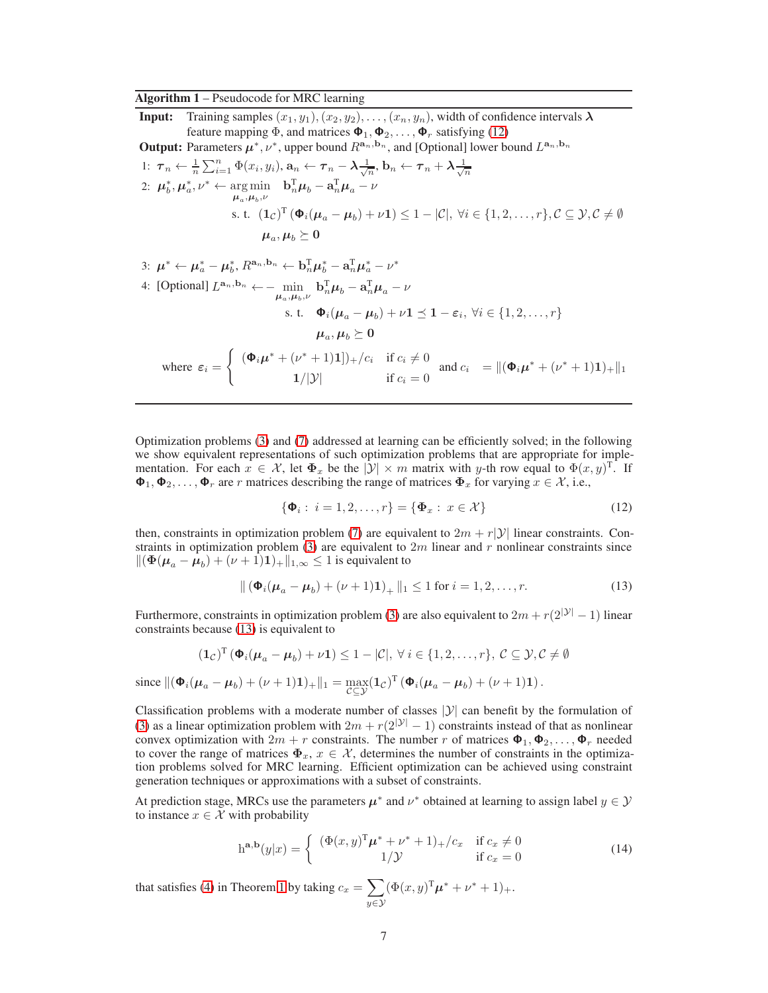#### <span id="page-6-0"></span>Algorithm 1 – Pseudocode for MRC learning

**Input:** Training samples  $(x_1, y_1), (x_2, y_2), \ldots, (x_n, y_n)$ , width of confidence intervals  $\lambda$ feature mapping  $\Phi$ , and matrices  $\Phi_1, \Phi_2, \ldots, \Phi_r$  satisfying [\(12\)](#page-6-1) **Output:** Parameters  $\mu^*, \nu^*$ , upper bound  $R^{{\bf a}_n, {\bf b}_n}$ , and [Optional] lower bound  $L^{{\bf a}_n, {\bf b}_n}$ 1:  $\tau_n \leftarrow \frac{1}{n} \sum_{i=1}^n \Phi(x_i, y_i), \mathbf{a}_n \leftarrow \tau_n - \lambda \frac{1}{\sqrt{n}}, \mathbf{b}_n \leftarrow \tau_n + \lambda \frac{1}{\sqrt{n}}$ 2:  $\mu_b^*, \mu_a^*, \nu^* \leftarrow \underset{\mu_a, \mu_b, \nu}{\arg \min} \quad \mathbf{b}_n^{\mathrm{T}} \mu_b - \mathbf{a}_n^{\mathrm{T}} \mu_a - \nu$ s. t.  $(1_{\mathcal{C}})^{T}(\Phi_i(\mu_a - \mu_b) + \nu 1) \leq 1 - |\mathcal{C}|, \forall i \in \{1, 2, ..., r\}, \mathcal{C} \subseteq \mathcal{Y}, \mathcal{C} \neq \emptyset$  $\boldsymbol{\mu}_a,\boldsymbol{\mu}_b\succeq\mathbf{0}$ 3:  $\mu^* \leftarrow \mu_a^* - \mu_b^*, R^{\mathbf{a}_n, \mathbf{b}_n} \leftarrow \mathbf{b}_n^{\mathrm{T}} \mu_b^* - \mathbf{a}_n^{\mathrm{T}} \mu_a^* - \nu^*$ 4: [Optional]  $L^{\mathbf{a}_n, \mathbf{b}_n} \leftarrow -\min_{\mu_a, \mu_b, \nu} \mathbf{b}_n^{\mathrm{T}} \mu_b - \mathbf{a}_n^{\mathrm{T}} \mu_a - \nu$ 

$$
\text{s. t.} \quad \Phi_i(\mu_a - \mu_b) + \nu \mathbf{1} \preceq \mathbf{1} - \varepsilon_i, \ \forall i \in \{1, 2, \dots, r\}
$$
\n
$$
\mu_a, \mu_b \succeq \mathbf{0}
$$
\n
$$
\text{where } \varepsilon_i = \begin{cases} \ (\Phi_i \mu^* + (\nu^* + 1)\mathbf{1})_+ / c_i & \text{if } c_i \neq 0 \\ 1/|\mathcal{Y}| & \text{if } c_i = 0 \end{cases} \text{ and } c_i = \|(\Phi_i \mu^* + (\nu^* + 1)\mathbf{1})_+\|_1
$$

Optimization problems [\(3\)](#page-3-1) and [\(7\)](#page-4-2) addressed at learning can be efficiently solved; in the following we show equivalent representations of such optimization problems that are appropriate for implementation. For each  $x \in \mathcal{X}$ , let  $\Phi_x$  be the  $|\mathcal{Y}| \times m$  matrix with y-th row equal to  $\Phi(x, y)$ <sup>T</sup>. If  $\Phi_1, \Phi_2, \ldots, \Phi_r$  are r matrices describing the range of matrices  $\Phi_x$  for varying  $x \in \mathcal{X}$ , i.e.,

<span id="page-6-2"></span><span id="page-6-1"></span>
$$
\{\mathbf{\Phi}_i: \ i = 1, 2, \dots, r\} = \{\mathbf{\Phi}_x: \ x \in \mathcal{X}\}\
$$
 (12)

then, constraints in optimization problem [\(7\)](#page-4-2) are equivalent to  $2m + r|\mathcal{Y}|$  linear constraints. Con-straints in optimization problem [\(3\)](#page-3-1) are equivalent to  $2m$  linear and r nonlinear constraints since  $\|(\mathbf{\Phi}(\boldsymbol{\mu}_a - \boldsymbol{\mu}_b) + (\nu + 1)\mathbf{1})_+\|_{1,\infty} \leq 1$  is equivalent to

$$
\| (\mathbf{\Phi}_i(\boldsymbol{\mu}_a - \boldsymbol{\mu}_b) + (\nu + 1)\mathbf{1})_+ \|_1 \le 1 \text{ for } i = 1, 2, ..., r.
$$
 (13)

Furthermore, constraints in optimization problem [\(3\)](#page-3-1) are also equivalent to  $2m + r(2^{|\mathcal{Y}|} - 1)$  linear constraints because [\(13\)](#page-6-2) is equivalent to

$$
(1_{\mathcal{C}})^{T} \left(\Phi_{i}(\mu_{a}-\mu_{b})+\nu 1\right) \leq 1-|\mathcal{C}|, \forall i \in \{1,2,\ldots,r\}, \mathcal{C} \subseteq \mathcal{Y}, \mathcal{C} \neq \emptyset
$$
  
since  $\|(\Phi_{i}(\mu_{a}-\mu_{b})+(\nu+1)1)_{+}\|_{1} = \max_{\mathcal{C} \subseteq \mathcal{Y}} (1_{\mathcal{C}})^{T} \left(\Phi_{i}(\mu_{a}-\mu_{b})+(\nu+1)1\right).$ 

Classification problems with a moderate number of classes  $|\mathcal{Y}|$  can benefit by the formulation of [\(3\)](#page-3-1) as a linear optimization problem with  $2m + r(2^{|\mathcal{Y}|} - 1)$  constraints instead of that as nonlinear convex optimization with  $2m + r$  constraints. The number r of matrices  $\Phi_1, \Phi_2, \ldots, \Phi_r$  needed to cover the range of matrices  $\Phi_x$ ,  $x \in \mathcal{X}$ , determines the number of constraints in the optimization problems solved for MRC learning. Efficient optimization can be achieved using constraint generation techniques or approximations with a subset of constraints.

At prediction stage, MRCs use the parameters  $\mu^*$  and  $\nu^*$  obtained at learning to assign label  $y \in \mathcal{Y}$ to instance  $x \in \mathcal{X}$  with probability

$$
h^{a,b}(y|x) = \begin{cases} (\Phi(x,y)^{T}\mu^{*} + \nu^{*} + 1)_{+}/c_{x} & \text{if } c_{x} \neq 0\\ 1/\mathcal{Y} & \text{if } c_{x} = 0 \end{cases}
$$
(14)

that satisfies [\(4\)](#page-3-2) in Theorem [1](#page-3-0) by taking  $c_x = \sum$  $y \in \mathcal{Y}$  $(\Phi(x, y)^{\mathrm{T}} \mu^* + \nu^* + 1)_+.$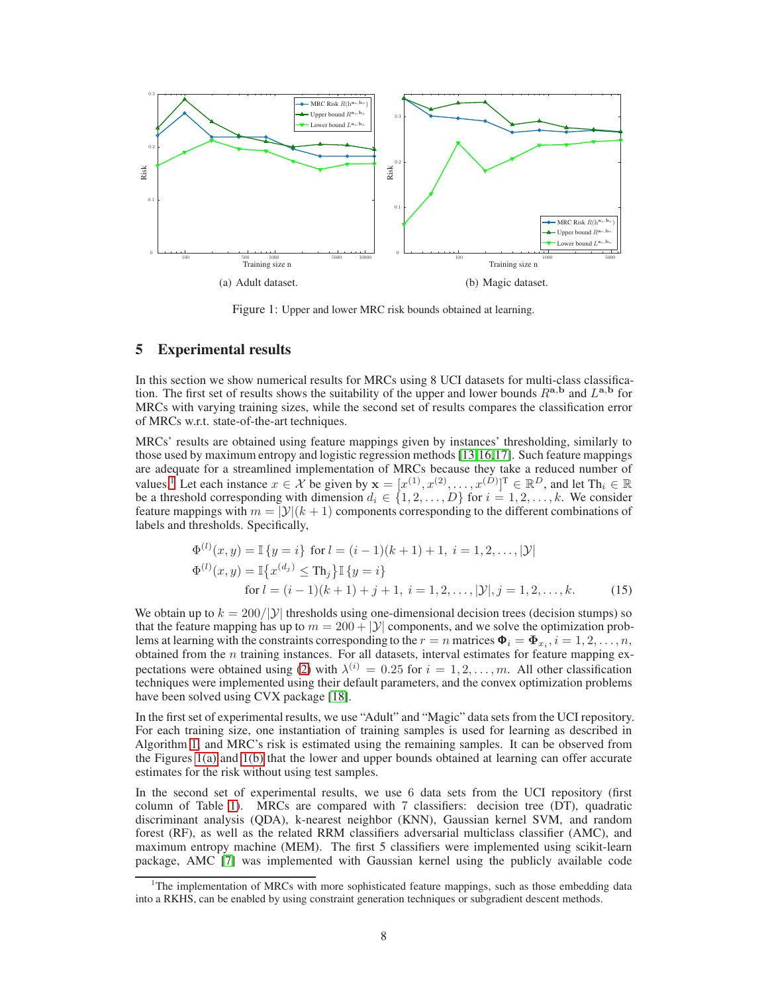<span id="page-7-1"></span>

<span id="page-7-2"></span>Figure 1: Upper and lower MRC risk bounds obtained at learning.

## <span id="page-7-0"></span>5 Experimental results

In this section we show numerical results for MRCs using 8 UCI datasets for multi-class classification. The first set of results shows the suitability of the upper and lower bounds  $R^{a,b}$  and  $L^{a,b}$  for MRCs with varying training sizes, while the second set of results compares the classification error of MRCs w.r.t. state-of-the-art techniques.

MRCs' results are obtained using feature mappings given by instances' thresholding, similarly to those used by maximum entropy and logistic regression methods [\[13,](#page-9-8)[16,](#page-9-15)[17\]](#page-10-0). Such feature mappings are adequate for a streamlined implementation of MRCs because they take a reduced number of values.<sup>1</sup> Let each instance  $x \in \mathcal{X}$  be given by  $\mathbf{x} = [x^{(1)}, x^{(2)}, \dots, x^{(D)}]^{\text{T}} \in \mathbb{R}^D$ , and let  $\text{Th}_i \in \mathbb{R}$ be a threshold corresponding with dimension  $d_i \in \{1, 2, ..., D\}$  for  $i = 1, 2, ..., k$ . We consider feature mappings with  $m = |\mathcal{Y}|(k+1)$  components corresponding to the different combinations of labels and thresholds. Specifically,

$$
\Phi^{(l)}(x, y) = \mathbb{I}\left\{y = i\right\} \text{ for } l = (i - 1)(k + 1) + 1, \ i = 1, 2, \dots, |\mathcal{Y}|
$$
  
\n
$$
\Phi^{(l)}(x, y) = \mathbb{I}\left\{x^{(d_j)} \le \text{Th}_j\right\} \mathbb{I}\left\{y = i\right\}
$$
  
\nfor  $l = (i - 1)(k + 1) + j + 1, \ i = 1, 2, \dots, |\mathcal{Y}|, j = 1, 2, \dots, k.$  (15)

We obtain up to  $k = 200/|y|$  thresholds using one-dimensional decision trees (decision stumps) so that the feature mapping has up to  $m = 200 + |y|$  components, and we solve the optimization problems at learning with the constraints corresponding to the  $r = n$  matrices  $\mathbf{\Phi}_i = \mathbf{\Phi}_{x_i}$ ,  $i = 1, 2, \ldots, n$ , obtained from the  $n$  training instances. For all datasets, interval estimates for feature mapping ex-pectations were obtained using [\(2\)](#page-2-1) with  $\lambda^{(i)} = 0.25$  for  $i = 1, 2, ..., m$ . All other classification techniques were implemented using their default parameters, and the convex optimization problems have been solved using CVX package [\[18\]](#page-10-1).

In the first set of experimental results, we use "Adult" and "Magic" data sets from the UCI repository. For each training size, one instantiation of training samples is used for learning as described in Algorithm [1,](#page-6-0) and MRC's risk is estimated using the remaining samples. It can be observed from the Figures [1\(a\)](#page-7-1) and [1\(b\)](#page-7-2) that the lower and upper bounds obtained at learning can offer accurate estimates for the risk without using test samples.

In the second set of experimental results, we use 6 data sets from the UCI repository (first column of Table [1\)](#page-8-0). MRCs are compared with 7 classifiers: decision tree (DT), quadratic discriminant analysis (QDA), k-nearest neighbor (KNN), Gaussian kernel SVM, and random forest (RF), as well as the related RRM classifiers adversarial multiclass classifier (AMC), and maximum entropy machine (MEM). The first 5 classifiers were implemented using scikit-learn package, AMC [\[7\]](#page-9-11) was implemented with Gaussian kernel using the publicly available code

<sup>&</sup>lt;sup>1</sup>The implementation of MRCs with more sophisticated feature mappings, such as those embedding data into a RKHS, can be enabled by using constraint generation techniques or subgradient descent methods.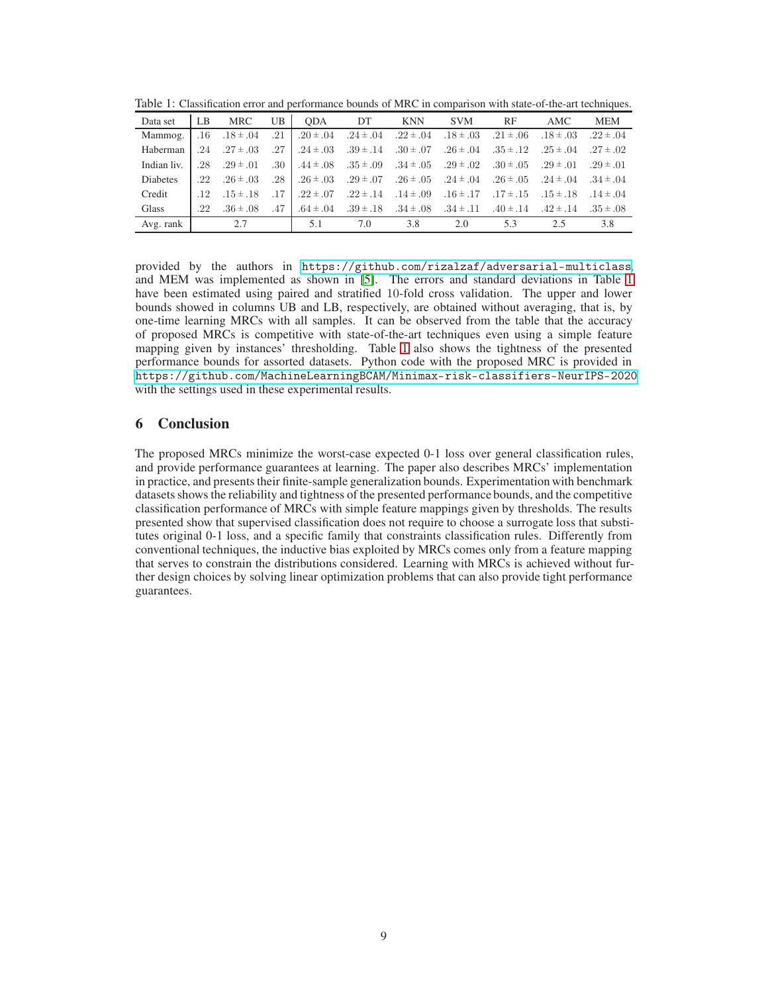<span id="page-8-0"></span>

|  | Table 1: Classification error and performance bounds of MRC in comparison with state-of-the-art techniques. |  |  |  |  |  |  |  |
|--|-------------------------------------------------------------------------------------------------------------|--|--|--|--|--|--|--|
|  |                                                                                                             |  |  |  |  |  |  |  |

| Data set        | LB      | <b>MRC</b>    | UB  | <b>ODA</b>    | DT            | <b>KNN</b>    | <b>SVM</b>    | RF            | AMC           | <b>MEM</b>    |
|-----------------|---------|---------------|-----|---------------|---------------|---------------|---------------|---------------|---------------|---------------|
| Mammog.         | $.16\,$ | $.18 \pm .04$ | .21 | $.20 \pm .04$ | $.24 \pm .04$ | $.22 \pm .04$ | $.18 \pm .03$ | $.21 \pm .06$ | $.18 \pm .03$ | $.22 \pm .04$ |
| Haberman        | .24     | $.27 \pm .03$ | .27 | $.24 \pm .03$ | $.39 \pm .14$ | $.30 \pm .07$ | $.26 \pm .04$ | $.35 \pm .12$ | $.25 \pm .04$ | $.27 \pm .02$ |
| Indian liv.     | .28     | $.29 \pm .01$ | .30 | $.44 \pm .08$ | $.35 \pm .09$ | $.34 \pm .05$ | $.29 \pm .02$ | $.30 \pm .05$ | $.29 \pm .01$ | $.29 \pm .01$ |
| <b>Diabetes</b> | .22     | $.26 \pm .03$ | .28 | $.26 \pm .03$ | $.29 \pm .07$ | $.26 \pm .05$ | $.24 \pm .04$ | $.26 \pm .05$ | $.24 \pm .04$ | $.34 \pm .04$ |
| Credit          | .12     | $.15 \pm .18$ | .17 | $.22 \pm .07$ | $.22 \pm .14$ | $.14 \pm .09$ | $.16 \pm .17$ | $.17 \pm .15$ | $.15 \pm .18$ | $.14 \pm .04$ |
| Glass           | .22     | $.36 \pm .08$ | .47 | $.64 \pm .04$ | $.39 \pm .18$ | $.34 \pm .08$ | $.34 \pm .11$ | $.40 \pm .14$ | $.42 \pm .14$ | $.35 \pm .08$ |
| Avg. rank       |         | 2.7           |     | 5.1           | 7.0           | 3.8           | 2.0           | 5.3           | 2.5           | 3.8           |

provided by the authors in <https://github.com/rizalzaf/adversarial-multiclass>, and MEM was implemented as shown in [\[5\]](#page-9-4). The errors and standard deviations in Table [1](#page-8-0) have been estimated using paired and stratified 10-fold cross validation. The upper and lower bounds showed in columns UB and LB, respectively, are obtained without averaging, that is, by one-time learning MRCs with all samples. It can be observed from the table that the accuracy of proposed MRCs is competitive with state-of-the-art techniques even using a simple feature mapping given by instances' thresholding. Table [1](#page-8-0) also shows the tightness of the presented performance bounds for assorted datasets. Python code with the proposed MRC is provided in <https://github.com/MachineLearningBCAM/Minimax-risk-classifiers-NeurIPS-2020> with the settings used in these experimental results.

# 6 Conclusion

The proposed MRCs minimize the worst-case expected 0-1 loss over general classification rules, and provide performance guarantees at learning. The paper also describes MRCs' implementation in practice, and presents their finite-sample generalization bounds. Experimentation with benchmark datasets shows the reliability and tightness of the presented performance bounds, and the competitive classification performance of MRCs with simple feature mappings given by thresholds. The results presented show that supervised classification does not require to choose a surrogate loss that substitutes original 0-1 loss, and a specific family that constraints classification rules. Differently from conventional techniques, the inductive bias exploited by MRCs comes only from a feature mapping that serves to constrain the distributions considered. Learning with MRCs is achieved without further design choices by solving linear optimization problems that can also provide tight performance guarantees.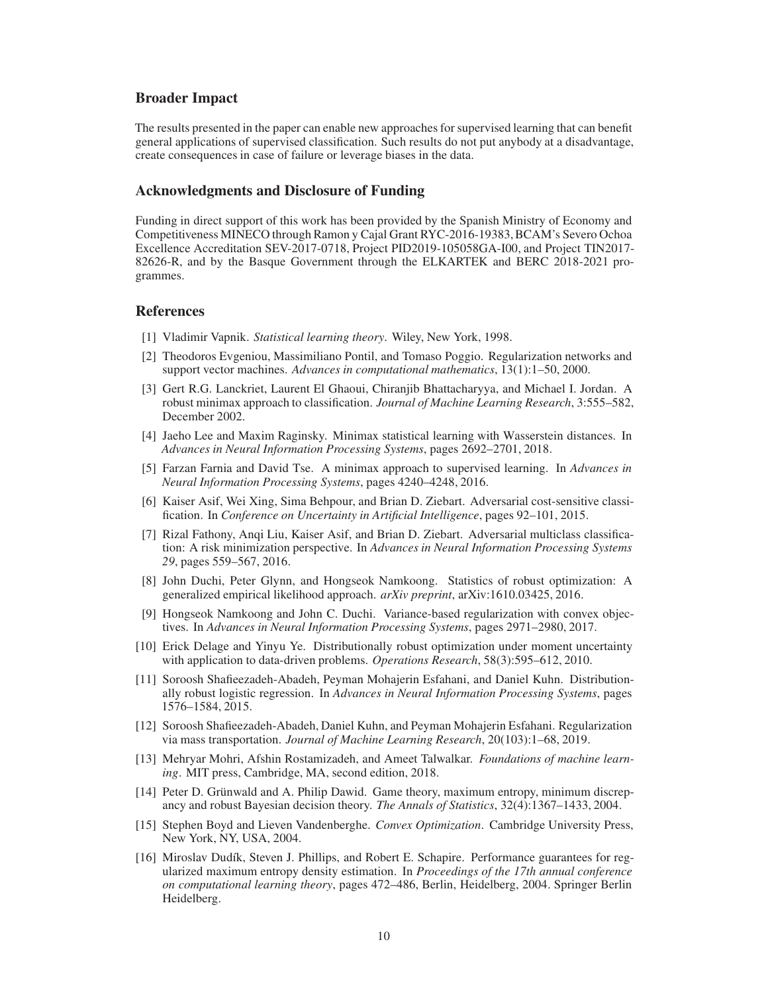## Broader Impact

The results presented in the paper can enable new approaches for supervised learning that can benefit general applications of supervised classification. Such results do not put anybody at a disadvantage, create consequences in case of failure or leverage biases in the data.

### Acknowledgments and Disclosure of Funding

Funding in direct support of this work has been provided by the Spanish Ministry of Economy and Competitiveness MINECO through Ramon y Cajal Grant RYC-2016-19383, BCAM's Severo Ochoa Excellence Accreditation SEV-2017-0718, Project PID2019-105058GA-I00, and Project TIN2017- 82626-R, and by the Basque Government through the ELKARTEK and BERC 2018-2021 programmes.

## <span id="page-9-0"></span>References

- <span id="page-9-1"></span>[1] Vladimir Vapnik. *Statistical learning theory*. Wiley, New York, 1998.
- [2] Theodoros Evgeniou, Massimiliano Pontil, and Tomaso Poggio. Regularization networks and support vector machines. *Advances in computational mathematics*, 13(1):1–50, 2000.
- <span id="page-9-2"></span>[3] Gert R.G. Lanckriet, Laurent El Ghaoui, Chiranjib Bhattacharyya, and Michael I. Jordan. A robust minimax approach to classification. *Journal of Machine Learning Research*, 3:555–582, December 2002.
- <span id="page-9-3"></span>[4] Jaeho Lee and Maxim Raginsky. Minimax statistical learning with Wasserstein distances. In *Advances in Neural Information Processing Systems*, pages 2692–2701, 2018.
- <span id="page-9-4"></span>[5] Farzan Farnia and David Tse. A minimax approach to supervised learning. In *Advances in Neural Information Processing Systems*, pages 4240–4248, 2016.
- <span id="page-9-14"></span>[6] Kaiser Asif, Wei Xing, Sima Behpour, and Brian D. Ziebart. Adversarial cost-sensitive classification. In *Conference on Uncertainty in Artificial Intelligence*, pages 92–101, 2015.
- <span id="page-9-11"></span>[7] Rizal Fathony, Anqi Liu, Kaiser Asif, and Brian D. Ziebart. Adversarial multiclass classification: A risk minimization perspective. In *Advances in Neural Information Processing Systems 29*, pages 559–567, 2016.
- <span id="page-9-10"></span>[8] John Duchi, Peter Glynn, and Hongseok Namkoong. Statistics of robust optimization: A generalized empirical likelihood approach. *arXiv preprint*, arXiv:1610.03425, 2016.
- <span id="page-9-5"></span>[9] Hongseok Namkoong and John C. Duchi. Variance-based regularization with convex objectives. In *Advances in Neural Information Processing Systems*, pages 2971–2980, 2017.
- <span id="page-9-6"></span>[10] Erick Delage and Yinyu Ye. Distributionally robust optimization under moment uncertainty with application to data-driven problems. *Operations Research*, 58(3):595–612, 2010.
- <span id="page-9-9"></span>[11] Soroosh Shafieezadeh-Abadeh, Peyman Mohajerin Esfahani, and Daniel Kuhn. Distributionally robust logistic regression. In *Advances in Neural Information Processing Systems*, pages 1576–1584, 2015.
- <span id="page-9-7"></span>[12] Soroosh Shafieezadeh-Abadeh, Daniel Kuhn, and Peyman Mohajerin Esfahani. Regularization via mass transportation. *Journal of Machine Learning Research*, 20(103):1–68, 2019.
- <span id="page-9-8"></span>[13] Mehryar Mohri, Afshin Rostamizadeh, and Ameet Talwalkar. *Foundations of machine learning*. MIT press, Cambridge, MA, second edition, 2018.
- <span id="page-9-12"></span>[14] Peter D. Grünwald and A. Philip Dawid. Game theory, maximum entropy, minimum discrepancy and robust Bayesian decision theory. *The Annals of Statistics*, 32(4):1367–1433, 2004.
- <span id="page-9-13"></span>[15] Stephen Boyd and Lieven Vandenberghe. *Convex Optimization*. Cambridge University Press, New York, NY, USA, 2004.
- <span id="page-9-15"></span>[16] Miroslav Dudík, Steven J. Phillips, and Robert E. Schapire. Performance guarantees for regularized maximum entropy density estimation. In *Proceedings of the 17th annual conference on computational learning theory*, pages 472–486, Berlin, Heidelberg, 2004. Springer Berlin Heidelberg.